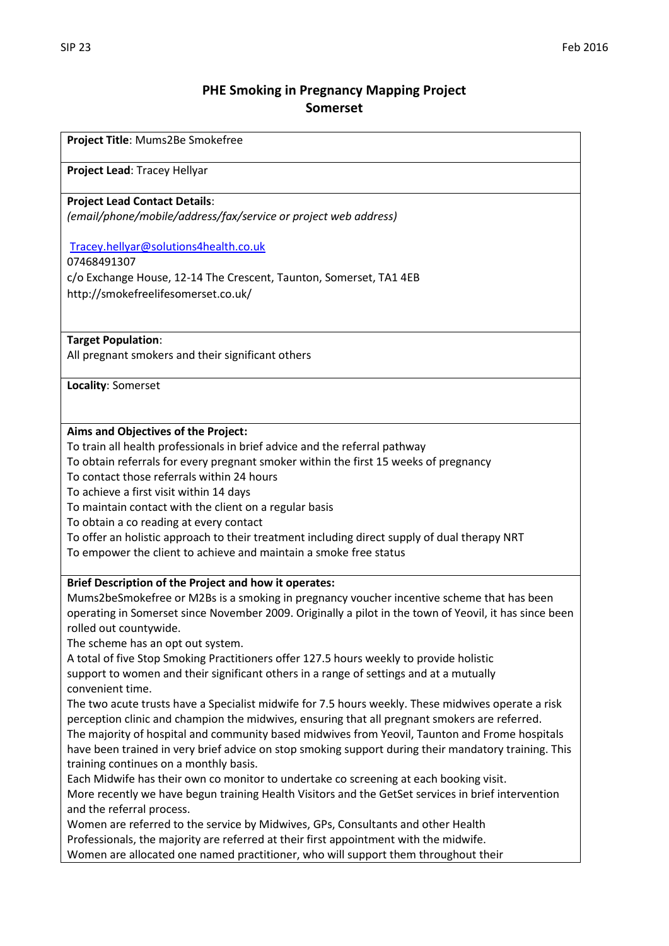## **PHE Smoking in Pregnancy Mapping Project Somerset**

**Project Title**: Mums2Be Smokefree

**Project Lead**: Tracey Hellyar

#### **Project Lead Contact Details**:

*(email/phone/mobile/address/fax/service or project web address)*

[Tracey.hellyar@solutions4health.co.uk](mailto:Tracey.hellyar@solutions4health.co.uk)

07468491307

c/o Exchange House, 12-14 The Crescent, Taunton, Somerset, TA1 4EB http://smokefreelifesomerset.co.uk/

**Target Population**:

All pregnant smokers and their significant others

**Locality**: Somerset

## **Aims and Objectives of the Project:**

To train all health professionals in brief advice and the referral pathway

To obtain referrals for every pregnant smoker within the first 15 weeks of pregnancy

To contact those referrals within 24 hours

To achieve a first visit within 14 days

To maintain contact with the client on a regular basis

To obtain a co reading at every contact

To offer an holistic approach to their treatment including direct supply of dual therapy NRT To empower the client to achieve and maintain a smoke free status

## **Brief Description of the Project and how it operates:**

Mums2beSmokefree or M2Bs is a smoking in pregnancy voucher incentive scheme that has been operating in Somerset since November 2009. Originally a pilot in the town of Yeovil, it has since been rolled out countywide.

The scheme has an opt out system.

A total of five Stop Smoking Practitioners offer 127.5 hours weekly to provide holistic support to women and their significant others in a range of settings and at a mutually convenient time.

The two acute trusts have a Specialist midwife for 7.5 hours weekly. These midwives operate a risk perception clinic and champion the midwives, ensuring that all pregnant smokers are referred. The majority of hospital and community based midwives from Yeovil, Taunton and Frome hospitals have been trained in very brief advice on stop smoking support during their mandatory training. This training continues on a monthly basis.

Each Midwife has their own co monitor to undertake co screening at each booking visit. More recently we have begun training Health Visitors and the GetSet services in brief intervention and the referral process.

Women are referred to the service by Midwives, GPs, Consultants and other Health Professionals, the majority are referred at their first appointment with the midwife. Women are allocated one named practitioner, who will support them throughout their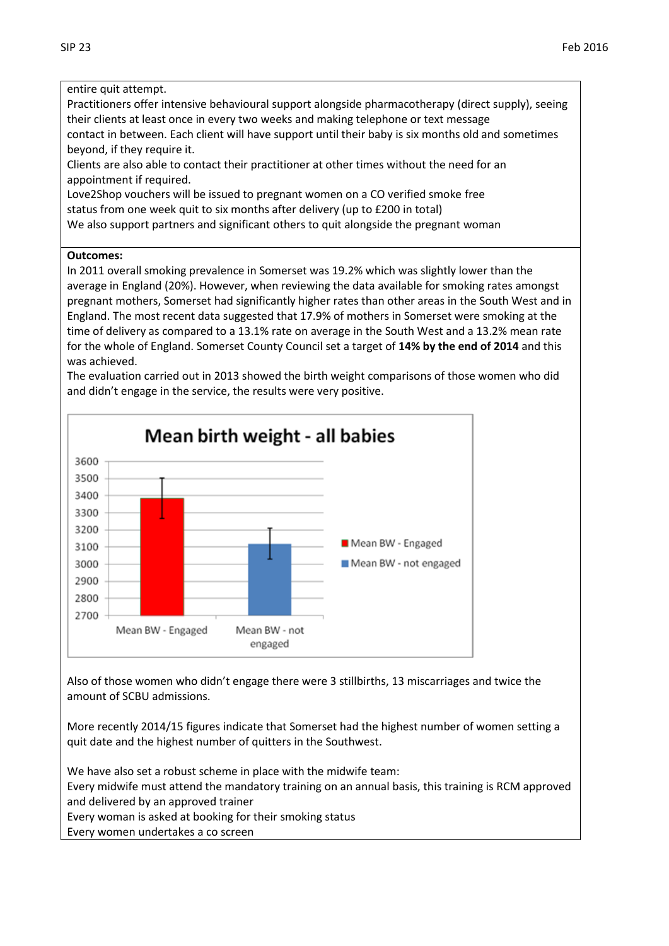entire quit attempt. Practitioners offer intensive behavioural support alongside pharmacotherapy (direct supply), seeing their clients at least once in every two weeks and making telephone or text message contact in between. Each client will have support until their baby is six months old and sometimes beyond, if they require it. Clients are also able to contact their practitioner at other times without the need for an appointment if required. Love2Shop vouchers will be issued to pregnant women on a CO verified smoke free status from one week quit to six months after delivery (up to £200 in total) We also support partners and significant others to quit alongside the pregnant woman

## **Outcomes:**

In 2011 overall smoking prevalence in Somerset was 19.2% which was slightly lower than the average in England (20%). However, when reviewing the data available for smoking rates amongst pregnant mothers, Somerset had significantly higher rates than other areas in the South West and in England. The most recent data suggested that 17.9% of mothers in Somerset were smoking at the time of delivery as compared to a 13.1% rate on average in the South West and a 13.2% mean rate for the whole of England. Somerset County Council set a target of **14% by the end of 2014** and this was achieved.

The evaluation carried out in 2013 showed the birth weight comparisons of those women who did and didn't engage in the service, the results were very positive.



Also of those women who didn't engage there were 3 stillbirths, 13 miscarriages and twice the

More recently 2014/15 figures indicate that Somerset had the highest number of women setting a quit date and the highest number of quitters in the Southwest.

We have also set a robust scheme in place with the midwife team: Every midwife must attend the mandatory training on an annual basis, this training is RCM approved and delivered by an approved trainer

Every woman is asked at booking for their smoking status

Every women undertakes a co screen

amount of SCBU admissions.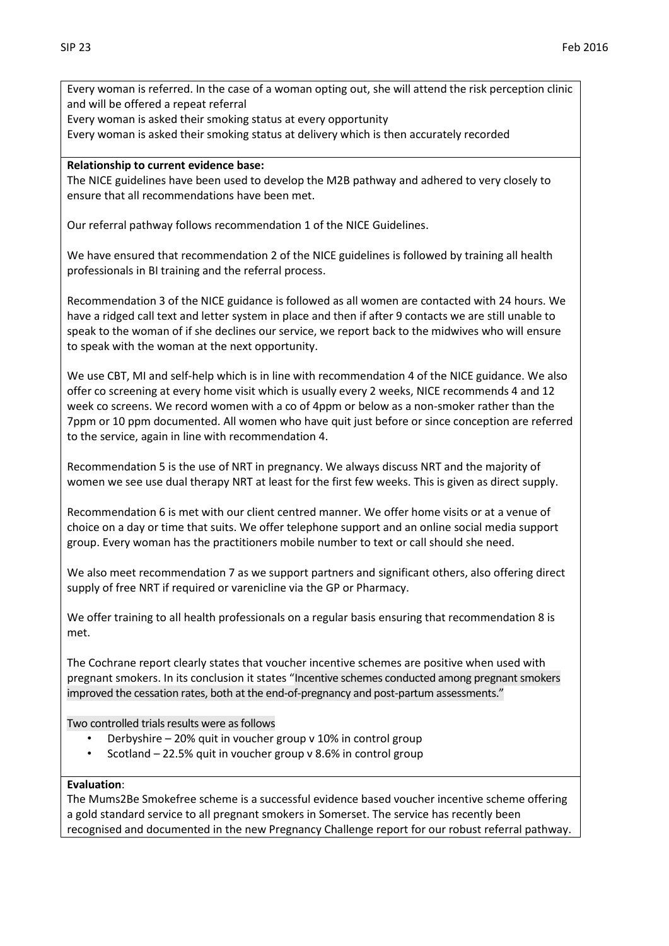Every woman is referred. In the case of a woman opting out, she will attend the risk perception clinic and will be offered a repeat referral

Every woman is asked their smoking status at every opportunity

Every woman is asked their smoking status at delivery which is then accurately recorded

## **Relationship to current evidence base:**

The NICE guidelines have been used to develop the M2B pathway and adhered to very closely to ensure that all recommendations have been met.

Our referral pathway follows recommendation 1 of the NICE Guidelines.

We have ensured that recommendation 2 of the NICE guidelines is followed by training all health professionals in BI training and the referral process.

Recommendation 3 of the NICE guidance is followed as all women are contacted with 24 hours. We have a ridged call text and letter system in place and then if after 9 contacts we are still unable to speak to the woman of if she declines our service, we report back to the midwives who will ensure to speak with the woman at the next opportunity.

We use CBT, MI and self-help which is in line with recommendation 4 of the NICE guidance. We also offer co screening at every home visit which is usually every 2 weeks, NICE recommends 4 and 12 week co screens. We record women with a co of 4ppm or below as a non-smoker rather than the 7ppm or 10 ppm documented. All women who have quit just before or since conception are referred to the service, again in line with recommendation 4.

Recommendation 5 is the use of NRT in pregnancy. We always discuss NRT and the majority of women we see use dual therapy NRT at least for the first few weeks. This is given as direct supply.

Recommendation 6 is met with our client centred manner. We offer home visits or at a venue of choice on a day or time that suits. We offer telephone support and an online social media support group. Every woman has the practitioners mobile number to text or call should she need.

We also meet recommendation 7 as we support partners and significant others, also offering direct supply of free NRT if required or varenicline via the GP or Pharmacy.

We offer training to all health professionals on a regular basis ensuring that recommendation 8 is met.

The Cochrane report clearly states that voucher incentive schemes are positive when used with pregnant smokers. In its conclusion it states "Incentive schemes conducted among pregnant smokers improved the cessation rates, both at the end-of-pregnancy and post-partum assessments."

Two controlled trials results were as follows

- Derbyshire 20% quit in voucher group v 10% in control group
- Scotland 22.5% quit in voucher group v 8.6% in control group

## **Evaluation**:

The Mums2Be Smokefree scheme is a successful evidence based voucher incentive scheme offering a gold standard service to all pregnant smokers in Somerset. The service has recently been recognised and documented in the new Pregnancy Challenge report for our robust referral pathway.